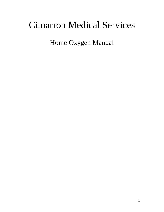# Cimarron Medical Services

Home Oxygen Manual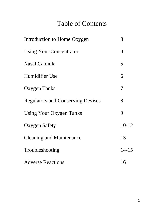# Table of Contents

| Introduction to Home Oxygen              | 3              |
|------------------------------------------|----------------|
| <b>Using Your Concentrator</b>           | $\overline{4}$ |
| Nasal Cannula                            | 5              |
| Humidifier Use                           | 6              |
| <b>Oxygen Tanks</b>                      | $\overline{7}$ |
| <b>Regulators and Conserving Devises</b> | 8              |
| <b>Using Your Oxygen Tanks</b>           | 9              |
| <b>Oxygen Safety</b>                     | $10-12$        |
| <b>Cleaning and Maintenance</b>          | 13             |
| Troubleshooting                          | $14 - 15$      |
| <b>Adverse Reactions</b>                 | 16             |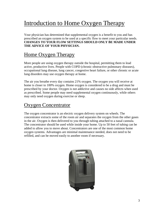## Introduction to Home Oxygen Therapy

Your physician has determined that supplemental oxygen is a benefit to you and has prescribed an oxygen system to be used at a specific flow to meet your particular needs. **CHANGES TO YOUR FLOW SETTINGS SHOULD ONLY BE MADE UNDER THE ADVICE OF YOUR PHYSICIAN.**

### Home Oxygen Therapy

More people are using oxygen therapy outside the hospital, permitting them to lead active, productive lives. People with COPD (chronic obstructive pulmonary diseases), occupational lung disease, lung cancer, congestive heart failure, or other chronic or acute lung disorders may use oxygen therapy at home.

The air you breathe every day contains 21% oxygen. The oxygen you will receive at home is closer to 100% oxygen. Home oxygen is considered to be a drug and must be prescribed by your doctor. Oxygen is not addictive and causes no side affects when used as prescribed. Some people may need supplemental oxygen continuously, while others may only need oxygen during exercise or sleep.

### **Oxygen Concentrator**

The oxygen concentrator is an electric oxygen delivery system on wheels. The concentrator extracts some of the room air and separates the oxygen from the other gases in the air. Oxygen is then delivered to you through tubing attached to a nasal cannula. The concentrator should be used while inside your home. Up to 50 feet of tubing can be added to allow you to move about. Concentrators are one of the most common home oxygen systems. Advantages are minimal maintenance needed, does not need to be refilled, and can be moved easily to another room if necessary.

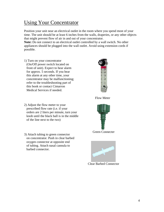### Using Your Concentrator

Position your unit near an electrical outlet in the room where you spend most of your time. The unit should be at least 6 inches from the walls, draperies, or any other objects that might prevent flow of air in and out of your concentrator.

**Note:** Do not connect to an electrical outlet controlled by a wall switch. No other appliances should be plugged into the wall outlet. Avoid using extension cords if possible.

1) Turn on your concentrator (On/Off power switch located on front of unit). Expect to hear alarm for approx. 5 seconds. If you hear this alarm at any other time, your concentrator may be malfunctioning; refer to the troubleshooting part of this book or contact Cimarron Medical Services if needed.



- 2) Adjust the flow meter to your prescribed flow rate (i.e. if your orders are 2 liters per minute, turn your knob until the black ball is in the middle of the line next to the two)
- 3) Attach tubing to green connector on concentrator. Push in clear barbed oxygen connector at opposite end of tubing. Attach nasal cannula to barbed connector.



Flow Meter

Green Connecter



Clear Barbed Connector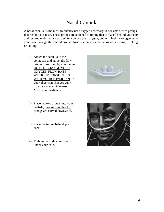#### Nasal Cannula

A nasal cannula is the most frequently used oxygen accessory. It consists of two prongs that rest in your nose. These prongs are attached to tubing that is placed behind your ears and secured under your neck. When you use your oxygen, you will feel the oxygen enter your nose through the curved prongs. Nasal cannulas can be worn while eating, drinking or talking.

1) Attach the cannula to the connector and adjust the flow rate as prescribed by your doctor. DO NOT CHANGE YOUR OXYGEN FLOW RATE WITHOUT CONSULTING WITH YOUR PHYSICIAN. If your physician changes your flow rate contact Cimarron Medical immediately.



- 2) Place the two prongs into your nostrils, making sure that the prongs are curved downward.
- 3) Place the tubing behind your ears.
- 4) Tighten the slide comfortably under your chin.

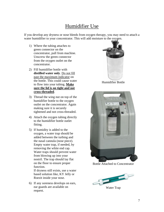### Humidifier Use

If you develop any dryness or nose bleeds from oxygen therapy, you may need to attach a water humidifier to your concentrator. This will add moisture to the oxygen.

- 1) Where the tubing attaches to green connector on the concentrator, pull from machine. Unscrew the green connector from the oxygen outlet on the concentrator.
- 2) Fill humidifier bottle with **distilled water only**. Do not fill past the maximum indicator on the bottle. This could cause water to flow into your tubing. **Make sure the lid is on tight and not cross-threaded**.
- 3) Thread the wing nut on top of the humidifier bottle to the oxygen outlet on the concentrator. Again making sure it is securely tightened and not cross-threaded.
- 4) Attach the oxygen tubing directly to the humidifier bottle outlet fitting.
- 5) If humidity is added to the oxygen, a water trap should be added between the turbing and the nasal cannula (nose piece). Empty water trap, if needed, by removing the white end cap. Water traps should prevent water from blowing up into your nostril. The trap should lay flat on the floor to ensure proper function.

If dryness still exists, use a water based solution like, KY Jelly or Roezit inside your nose.

6) If any soreness develops on ears, ear guards are available on request.



Humidifier Bottle



Bottle Attached to Concentrator



Water Trap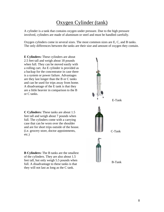### Oxygen Cylinder (tank)

A cylinder is a tank that contains oxygen under pressure. Due to the high pressure involved, cylinders are made of aluminum or steel and must be handled carefully.

Oxygen cylinders come in several sizes. The most common sizes are E, C, and B tanks. The only differences between the tanks are their size and amount of oxygen they contain.

**E Cylinders:** These cylinders are about 2.5 feet tall and weigh about 18 pounds when full. They can be moved easily with a rolling cart. An E cylinder is provided as a backup for the concentrator in case there is a system or power failure. Advantages are they last longer than the B or C tanks and can be used for trips away from home. A disadvantage of the E tank is that they are a little heavier in comparison to the B or C tanks.

**C Cylinders:** These tanks are about 1.5 feet tall and weigh about 7 pounds when full. The cylinders come with a carrying case that can be worn over the shoulder and are for short trips outside of the house. (i.e. grocery store, doctor appointments, etc.)

**B Cylinders:** The B tanks are the smallest of the cylinders. They are also about 1.5 feet tall, but only weigh 5.5 pounds when full. A disadvantage to these tanks is that they will not last as long as the C tank.

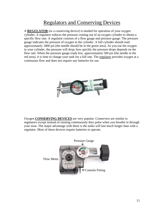### Regulators and Conserving Devices

A **REGULATOR** (or a conserving device) is needed for operation of your oxygen cylinder. A regulator reduces the pressure coming out of an oxygen cylinder to obtain a specific flow rate. A regulator consists of a flow gauge and pressure gauge. The pressure gauge indicates the pressure of oxygen in the cylinder. A full cylinder should read approximately 1800 psi (the needle should be in the green area). As you use the oxygen in your cylinder, the pressure will drop; how quickly the pressure drops depends on the flow rate. When the pressure gauge reads low, approximately 500 psi (the needle in the red area), it is time to change your tank for a full one. The regulator provides oxygen at a continuous flow and does not require any batteries for use.



Oxygen **CONSERVING DEVICES** are very popular. Conservers are similar to regulators except instead of running continuously they pulse when you breathe in through your nose. The major advantage with these is the tanks will last much longer than with a regulator. Most of these devices require batteries to operate.

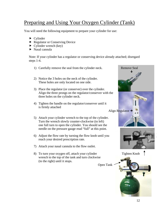### Preparing and Using Your Oxygen Cylinder (Tank)

You will need the following equipment to prepare your cylinder for use:

- ▶ Cylinder
- Regulator or Conserving Device
- $\blacktriangleright$  Cylinder wrench (key)
- $\blacktriangleright$  Nasal cannula

Note: If your cylinder has a regulator or conserving device already attached; disregard steps 1-4.

- 1) Carefully remove the seal from the cylinder neck. Remove Seal
- 2) Notice the 3 holes on the neck of the cylinder. These holes are only located on one side.
- 3) Place the regulator (or conserver) over the cylinder. Align the three prongs on the regulator/conserver with the three holes on the cylinder neck.
- 4) Tighten the handle on the regulator/conserver until it is firmly attached
- 5) Attach your cylinder wrench to the top of the cylinder. Turn the wrench slowly counter-clockwise (to left) one full turn to open the cylinder. You should see the needle on the pressure gauge read "full" at this point.
- 6) Adjust the flow rate by turning the flow knob until you reach your desired prescription rate.
- 7) Attach your nasal cannula to the flow outlet.
- 8) To turn your oxygen off, attach your cylinder Tighten Knob wrench to the top of the tank and turn clockwise (to the right) until it stops.



Open Tank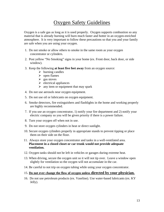#### Oxygen Safety Guidelines

Oxygen is a safe gas as long as it is used properly. Oxygen supports combustion so any material that is already burning will burn much faster and hotter in an oxygen-enriched atmosphere. It is very important to follow these precautions so that you and your family are safe when you are using your oxygen.

- 1. Do not smoke or allow others to smoke in the same room as your oxygen concentrator or cylinders.
- 2. Post yellow "No Smoking" signs in your home (ex. Front door, back door, or side window).
- 3. Keep the following **at least five feet away** from an oxygen source:
	- $\triangleright$  burning candles
	- $\triangleright$  open flames
	- $\triangleright$  gas stoves
	- $\triangleright$  electrical appliances
	- $\triangleright$  any item or equipment that may spark
- 4. Do not use aerosols near oxygen equipment.
- 5. Do not use oil or lubricants on oxygen equipment.
- 6. Smoke detectors, fire extinguishers and flashlights in the home and working properly are highly recommended.
- 7. If you use an oxygen concentrator, 1) notify your fire department and 2) notify your electric company so you will be given priority if there is a power failure.
- 8. Turn your oxygen off when not in use.
- 9. Do not store oxygen cylinders in heat or direct sunlight.
- 10. Secure oxygen cylinders properly in appropriate stands to prevent tipping or place them on their side on the floor.
- 11. Always store your oxygen concentrator and tanks in a well-ventilated area. **Placement in a closed closet or car trunk would not provide adequate ventilation.**
- 12. Oxygen tanks should not be left in vehicles or garages during extreme heat.
- 13. When driving, secure the oxygen unit so it will not tip over. Leave a window open slightly for ventilation so the oxygen will not accumulate in the car.
- 14. Be careful to not trip on oxygen tubing while using your oxygen concentrator.

#### 15. **Do not ever change the flow of oxygen unless directed by your physician.**

16. Do not use petroleum products (ex. Vaseline). Use water-based lubricants (ex. KY Jelly).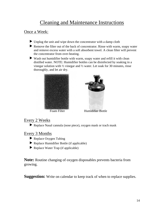### Cleaning and Maintenance Instructions

#### Once a Week:

- Unplug the unit and wipe down the concentrator with a damp cloth
- Remove the filter out of the back of concentrator. Rinse with warm, soapy water and remove excess water with a soft absorbent towel. A clean filter will prevent the concentrator from over-heating.
- Wash out humidifier bottle with warm, soapy water and refill it with clean distilled water. NOTE: Humidifier bottles can be disinfected by soaking in a vinegar solution with  $\frac{1}{2}$  vinegar and  $\frac{1}{2}$  water. Let soak for 30 minutes, rinse thoroughly, and let air dry.





Foam Filter Humidifier Bottle

#### Every 2 Weeks

Replace Nasal cannula (nose piece), oxygen mask or trach mask

#### Every 3 Months

- Replace Oxygen Tubing
- Replace Humidifier Bottle (if applicable)
- Replace Water Trap (if applicable)

**Note:** Routine changing of oxygen disposables prevents bacteria from growing.

**Suggestion:** Write on calendar to keep track of when to replace supplies.